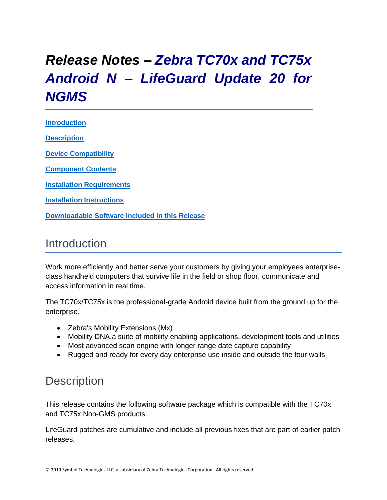# *Release Notes – Zebra TC70x and TC75x Android N – LifeGuard Update 20 for NGMS*

**[Introduction](#page-0-0) [Description](#page-0-1)**

**[Device Compatibility](#page-16-0)**

**[Component Contents](#page-1-0)**

**[Installation Requirements](#page-17-0)**

**[Installation Instructions](#page-17-1)**

**[Downloadable Software Included in this Release](#page-20-0)**

## <span id="page-0-0"></span>Introduction

Work more efficiently and better serve your customers by giving your employees enterpriseclass handheld computers that survive life in the field or shop floor, communicate and access information in real time.

The TC70x/TC75x is the professional-grade Android device built from the ground up for the enterprise.

- Zebra's Mobility Extensions (Mx)
- Mobility DNA, a suite of mobility enabling applications, development tools and utilities
- Most advanced scan engine with longer range date capture capability
- Rugged and ready for every day enterprise use inside and outside the four walls

### <span id="page-0-1"></span>**Description**

This release contains the following software package which is compatible with the TC70x and TC75x Non-GMS products.

LifeGuard patches are cumulative and include all previous fixes that are part of earlier patch releases.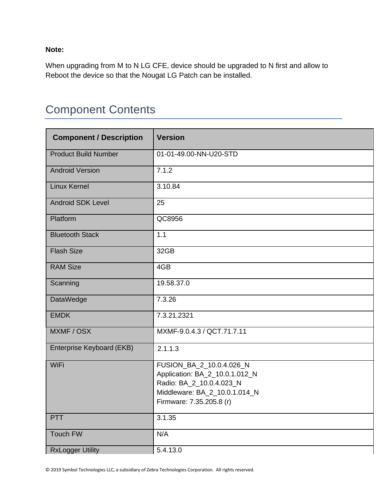**Note:**

When upgrading from M to N LG CFE, device should be upgraded to N first and allow to Reboot the device so that the Nougat LG Patch can be installed.

## <span id="page-1-0"></span>Component Contents

| <b>Component / Description</b> | <b>Version</b>                                                                                                                                      |
|--------------------------------|-----------------------------------------------------------------------------------------------------------------------------------------------------|
| <b>Product Build Number</b>    | 01-01-49.00-NN-U20-STD                                                                                                                              |
| <b>Android Version</b>         | 7.1.2                                                                                                                                               |
| <b>Linux Kernel</b>            | 3.10.84                                                                                                                                             |
| <b>Android SDK Level</b>       | 25                                                                                                                                                  |
| Platform                       | QC8956                                                                                                                                              |
| <b>Bluetooth Stack</b>         | 1.1                                                                                                                                                 |
| <b>Flash Size</b>              | 32GB                                                                                                                                                |
| <b>RAM Size</b>                | 4GB                                                                                                                                                 |
| Scanning                       | 19.58.37.0                                                                                                                                          |
| DataWedge                      | 7.3.26                                                                                                                                              |
| <b>EMDK</b>                    | 7.3.21.2321                                                                                                                                         |
| MXMF / OSX                     | MXMF-9.0.4.3 / QCT.71.7.11                                                                                                                          |
| Enterprise Keyboard (EKB)      | 2.1.1.3                                                                                                                                             |
| WiFi                           | FUSION_BA_2_10.0.4.026_N<br>Application: BA_2_10.0.1.012_N<br>Radio: BA_2_10.0.4.023_N<br>Middleware: BA_2_10.0.1.014_N<br>Firmware: 7.35.205.8 (r) |
| <b>PTT</b>                     | 3.1.35                                                                                                                                              |
| <b>Touch FW</b>                | N/A                                                                                                                                                 |
| <b>RxLogger Utility</b>        | 5.4.13.0                                                                                                                                            |

© 2019 Symbol Technologies LLC, a subsidiary of Zebra Technologies Corporation. All rights reserved.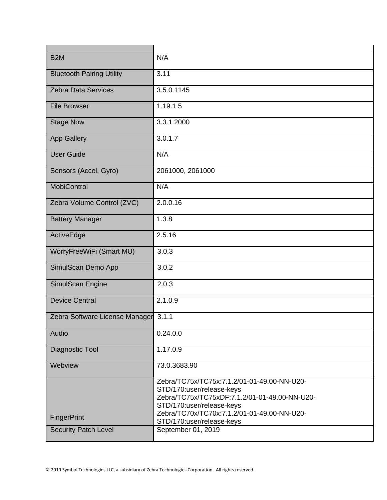| B <sub>2</sub> M                 | N/A                                                                                                                                                                                                                                |
|----------------------------------|------------------------------------------------------------------------------------------------------------------------------------------------------------------------------------------------------------------------------------|
| <b>Bluetooth Pairing Utility</b> | 3.11                                                                                                                                                                                                                               |
| <b>Zebra Data Services</b>       | 3.5.0.1145                                                                                                                                                                                                                         |
| <b>File Browser</b>              | 1.19.1.5                                                                                                                                                                                                                           |
| <b>Stage Now</b>                 | 3.3.1.2000                                                                                                                                                                                                                         |
| <b>App Gallery</b>               | 3.0.1.7                                                                                                                                                                                                                            |
| <b>User Guide</b>                | N/A                                                                                                                                                                                                                                |
| Sensors (Accel, Gyro)            | 2061000, 2061000                                                                                                                                                                                                                   |
| <b>MobiControl</b>               | N/A                                                                                                                                                                                                                                |
| Zebra Volume Control (ZVC)       | 2.0.0.16                                                                                                                                                                                                                           |
| <b>Battery Manager</b>           | 1.3.8                                                                                                                                                                                                                              |
| ActiveEdge                       | 2.5.16                                                                                                                                                                                                                             |
| WorryFreeWiFi (Smart MU)         | 3.0.3                                                                                                                                                                                                                              |
| SimulScan Demo App               | 3.0.2                                                                                                                                                                                                                              |
| SimulScan Engine                 | 2.0.3                                                                                                                                                                                                                              |
| <b>Device Central</b>            | 2.1.0.9                                                                                                                                                                                                                            |
| Zebra Software License Manager   | 3.1.1                                                                                                                                                                                                                              |
| Audio                            | 0.24.0.0                                                                                                                                                                                                                           |
| Diagnostic Tool                  | 1.17.0.9                                                                                                                                                                                                                           |
| Webview                          | 73.0.3683.90                                                                                                                                                                                                                       |
| FingerPrint                      | Zebra/TC75x/TC75x:7.1.2/01-01-49.00-NN-U20-<br>STD/170:user/release-keys<br>Zebra/TC75x/TC75xDF:7.1.2/01-01-49.00-NN-U20-<br>STD/170:user/release-keys<br>Zebra/TC70x/TC70x:7.1.2/01-01-49.00-NN-U20-<br>STD/170:user/release-keys |
| <b>Security Patch Level</b>      | September 01, 2019                                                                                                                                                                                                                 |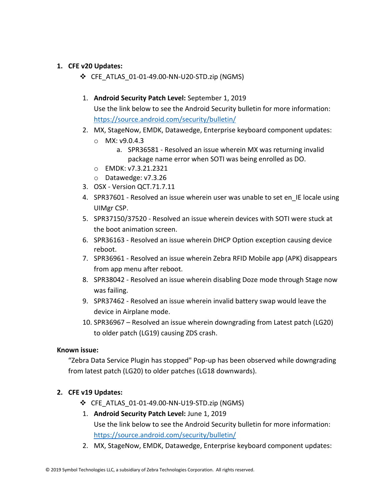#### **1. CFE v20 Updates:**

- ❖ CFE\_ATLAS\_01-01-49.00-NN-U20-STD.zip (NGMS)
- 1. **Android Security Patch Level:** September 1, 2019

Use the link below to see the Android Security bulletin for more information: <https://source.android.com/security/bulletin/>

- 2. MX, StageNow, EMDK, Datawedge, Enterprise keyboard component updates:
	- o MX: v9.0.4.3
		- a. SPR36581 Resolved an issue wherein MX was returning invalid package name error when SOTI was being enrolled as DO.
	- o EMDK: v7.3.21.2321
	- o Datawedge: v7.3.26
- 3. OSX Version QCT.71.7.11
- 4. SPR37601 Resolved an issue wherein user was unable to set en IE locale using UIMgr CSP.
- 5. SPR37150/37520 Resolved an issue wherein devices with SOTI were stuck at the boot animation screen.
- 6. SPR36163 Resolved an issue wherein DHCP Option exception causing device reboot.
- 7. SPR36961 Resolved an issue wherein Zebra RFID Mobile app (APK) disappears from app menu after reboot.
- 8. SPR38042 Resolved an issue wherein disabling Doze mode through Stage now was failing.
- 9. SPR37462 Resolved an issue wherein invalid battery swap would leave the device in Airplane mode.
- 10. SPR36967 Resolved an issue wherein downgrading from Latest patch (LG20) to older patch (LG19) causing ZDS crash.

#### **Known issue:**

"Zebra Data Service Plugin has stopped" Pop-up has been observed while downgrading from latest patch (LG20) to older patches (LG18 downwards).

#### **2. CFE v19 Updates:**

❖ CFE\_ATLAS\_01-01-49.00-NN-U19-STD.zip (NGMS)

#### 1. **Android Security Patch Level:** June 1, 2019

Use the link below to see the Android Security bulletin for more information: <https://source.android.com/security/bulletin/>

2. MX, StageNow, EMDK, Datawedge, Enterprise keyboard component updates: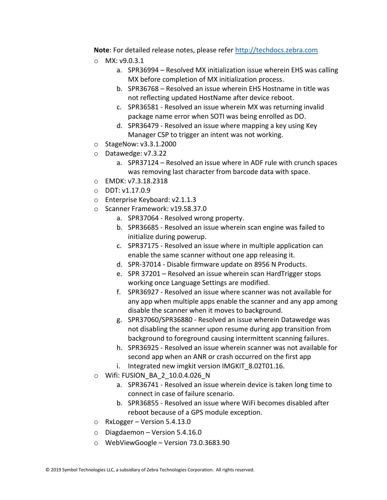**Note**: For detailed release notes, please refer [http://techdocs.zebra.com](http://techdocs.zebra.com/)

- o MX: v9.0.3.1
	- a. SPR36994 Resolved MX initialization issue wherein EHS was calling MX before completion of MX initialization process.
	- b. SPR36768 Resolved an issue wherein EHS Hostname in title was not reflecting updated HostName after device reboot.
	- c. SPR36581 Resolved an issue wherein MX was returning invalid package name error when SOTI was being enrolled as DO.
	- d. SPR36479 Resolved an issue where mapping a key using Key Manager CSP to trigger an intent was not working.
- o StageNow: v3.3.1.2000
- o Datawedge: v7.3.22
	- a. SPR37124 Resolved an issue where in ADF rule with crunch spaces was removing last character from barcode data with space.
- o EMDK: v7.3.18.2318
- o DDT: v1.17.0.9
- o Enterprise Keyboard: v2.1.1.3
- o Scanner Framework: v19.58.37.0
	- a. SPR37064 Resolved wrong property.
	- b. SPR36685 Resolved an issue wherein scan engine was failed to initialize during powerup.
	- c. SPR37175 Resolved an issue where in multiple application can enable the same scanner without one app releasing it.
	- d. SPR-37014 Disable firmware update on 8956 N Products.
	- e. SPR 37201 Resolved an issue wherein scan HardTrigger stops working once Language Settings are modified.
	- f. SPR36927 Resolved an issue where scanner was not available for any app when multiple apps enable the scanner and any app among disable the scanner when it moves to background.
	- g. SPR37060/SPR36880 Resolved an issue wherein Datawedge was not disabling the scanner upon resume during app transition from background to foreground causing intermittent scanning failures.
	- h. SPR36925 Resolved an issue wherein scanner was not available for second app when an ANR or crash occurred on the first app
	- i. Integrated new imgkit version IMGKIT 8.02T01.16.
- o Wifi: FUSION\_BA\_2\_10.0.4.026\_N
	- a. SPR36741 Resolved an issue wherein device is taken long time to connect in case of failure scenario.
	- b. SPR36855 Resolved an issue where WiFi becomes disabled after reboot because of a GPS module exception.
- $\circ$  RxLogger Version 5.4.13.0
- $\circ$  Diagdaemon Version 5.4.16.0
- o WebViewGoogle Version 73.0.3683.90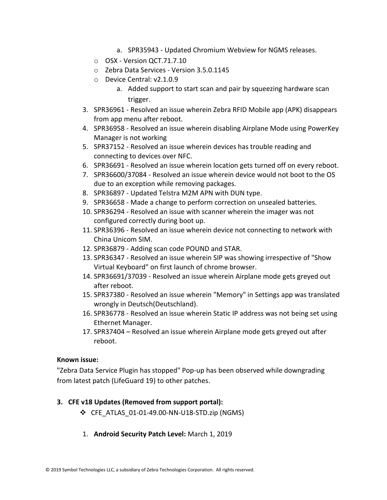- a. SPR35943 Updated Chromium Webview for NGMS releases.
- o OSX Version QCT.71.7.10
- o Zebra Data Services Version 3.5.0.1145
- o Device Central: v2.1.0.9
	- a. Added support to start scan and pair by squeezing hardware scan trigger.
- 3. SPR36961 Resolved an issue wherein Zebra RFID Mobile app (APK) disappears from app menu after reboot.
- 4. SPR36958 Resolved an issue wherein disabling Airplane Mode using PowerKey Manager is not working
- 5. SPR37152 Resolved an issue wherein devices has trouble reading and connecting to devices over NFC.
- 6. SPR36691 Resolved an issue wherein location gets turned off on every reboot.
- 7. SPR36600/37084 Resolved an issue wherein device would not boot to the OS due to an exception while removing packages.
- 8. SPR36897 Updated Telstra M2M APN with DUN type.
- 9. SPR36658 Made a change to perform correction on unsealed batteries.
- 10. SPR36294 Resolved an issue with scanner wherein the imager was not configured correctly during boot up.
- 11. SPR36396 Resolved an issue wherein device not connecting to network with China Unicom SIM.
- 12. SPR36879 Adding scan code POUND and STAR.
- 13. SPR36347 Resolved an issue wherein SIP was showing irrespective of "Show Virtual Keyboard" on first launch of chrome browser.
- 14. SPR36691/37039 Resolved an issue wherein Airplane mode gets greyed out after reboot.
- 15. SPR37380 Resolved an issue wherein "Memory" in Settings app was translated wrongly in Deutsch(Deutschland).
- 16. SPR36778 Resolved an issue wherein Static IP address was not being set using Ethernet Manager.
- 17. SPR37404 Resolved an issue wherein Airplane mode gets greyed out after reboot.

#### **Known issue:**

"Zebra Data Service Plugin has stopped" Pop-up has been observed while downgrading from latest patch (LifeGuard 19) to other patches.

#### **3. CFE v18 Updates (Removed from support portal):**

- ❖ CFE\_ATLAS\_01-01-49.00-NN-U18-STD.zip (NGMS)
- 1. **Android Security Patch Level:** March 1, 2019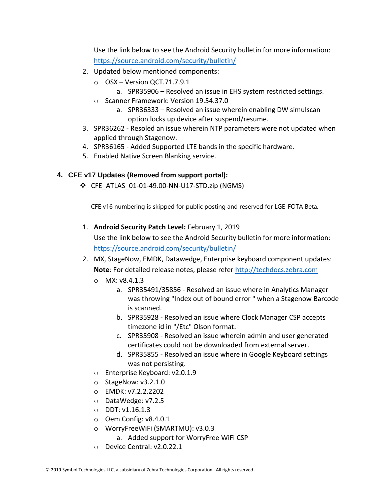Use the link below to see the Android Security bulletin for more information: <https://source.android.com/security/bulletin/>

- 2. Updated below mentioned components:
	- $\circ$  OSX Version QCT.71.7.9.1 a. SPR35906 – Resolved an issue in EHS system restricted settings.
	- o Scanner Framework: Version 19.54.37.0
		- a. SPR36333 Resolved an issue wherein enabling DW simulscan option locks up device after suspend/resume.
- 3. SPR36262 Resoled an issue wherein NTP parameters were not updated when applied through Stagenow.
- 4. SPR36165 Added Supported LTE bands in the specific hardware.
- 5. Enabled Native Screen Blanking service.

#### **4. CFE v17 Updates (Removed from support portal):**

❖ CFE\_ATLAS\_01-01-49.00-NN-U17-STD.zip (NGMS)

CFE v16 numbering is skipped for public posting and reserved for LGE-FOTA Beta.

1. **Android Security Patch Level:** February 1, 2019

Use the link below to see the Android Security bulletin for more information: <https://source.android.com/security/bulletin/>

- 2. MX, StageNow, EMDK, Datawedge, Enterprise keyboard component updates: **Note**: For detailed release notes, please refer [http://techdocs.zebra.com](http://techdocs.zebra.com/)
	- $O$  MX: v8.4.1.3
		- a. SPR35491/35856 Resolved an issue where in Analytics Manager was throwing "Index out of bound error " when a Stagenow Barcode is scanned.
		- b. SPR35928 Resolved an issue where Clock Manager CSP accepts timezone id in "/Etc" Olson format.
		- c. SPR35908 Resolved an issue wherein admin and user generated certificates could not be downloaded from external server.
		- d. SPR35855 Resolved an issue where in Google Keyboard settings was not persisting.
	- o Enterprise Keyboard: v2.0.1.9
	- o StageNow: v3.2.1.0
	- o EMDK: v7.2.2.2202
	- o DataWedge: v7.2.5
	- o DDT: v1.16.1.3
	- o Oem Config: v8.4.0.1
	- o WorryFreeWiFi (SMARTMU): v3.0.3
		- a. Added support for WorryFree WiFi CSP
	- o Device Central: v2.0.22.1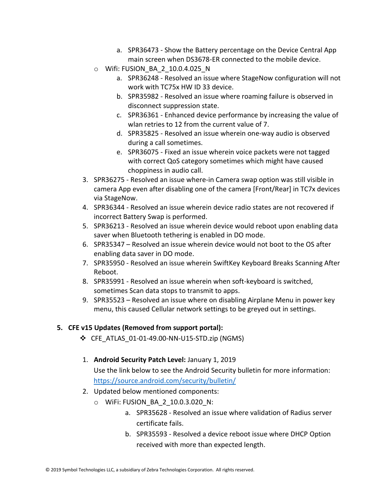- a. SPR36473 Show the Battery percentage on the Device Central App main screen when DS3678-ER connected to the mobile device.
- o Wifi: FUSION\_BA\_2\_10.0.4.025\_N
	- a. SPR36248 Resolved an issue where StageNow configuration will not work with TC75x HW ID 33 device.
	- b. SPR35982 Resolved an issue where roaming failure is observed in disconnect suppression state.
	- c. SPR36361 Enhanced device performance by increasing the value of wlan retries to 12 from the current value of 7.
	- d. SPR35825 Resolved an issue wherein one-way audio is observed during a call sometimes.
	- e. SPR36075 Fixed an issue wherein voice packets were not tagged with correct QoS category sometimes which might have caused choppiness in audio call.
- 3. SPR36275 Resolved an issue where-in Camera swap option was still visible in camera App even after disabling one of the camera [Front/Rear] in TC7x devices via StageNow.
- 4. SPR36344 Resolved an issue wherein device radio states are not recovered if incorrect Battery Swap is performed.
- 5. SPR36213 Resolved an issue wherein device would reboot upon enabling data saver when Bluetooth tethering is enabled in DO mode.
- 6. SPR35347 Resolved an issue wherein device would not boot to the OS after enabling data saver in DO mode.
- 7. SPR35950 Resolved an issue wherein SwiftKey Keyboard Breaks Scanning After Reboot.
- 8. SPR35991 Resolved an issue wherein when soft-keyboard is switched, sometimes Scan data stops to transmit to apps.
- 9. SPR35523 Resolved an issue where on disabling Airplane Menu in power key menu, this caused Cellular network settings to be greyed out in settings.

#### **5. CFE v15 Updates (Removed from support portal):**

❖ CFE\_ATLAS\_01-01-49.00-NN-U15-STD.zip (NGMS)

#### 1. **Android Security Patch Level:** January 1, 2019 Use the link below to see the Android Security bulletin for more information: <https://source.android.com/security/bulletin/>

- 2. Updated below mentioned components:
	- o WiFi: FUSION\_BA\_2\_10.0.3.020\_N:
		- a. SPR35628 Resolved an issue where validation of Radius server certificate fails.
		- b. SPR35593 Resolved a device reboot issue where DHCP Option received with more than expected length.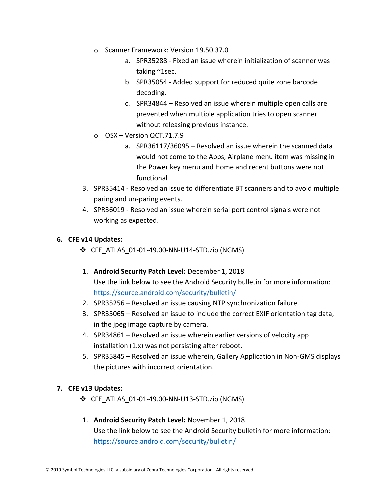- o Scanner Framework: Version 19.50.37.0
	- a. SPR35288 Fixed an issue wherein initialization of scanner was taking ~1sec.
	- b. SPR35054 Added support for reduced quite zone barcode decoding.
	- c. SPR34844 Resolved an issue wherein multiple open calls are prevented when multiple application tries to open scanner without releasing previous instance.
- o OSX Version QCT.71.7.9
	- a. SPR36117/36095 Resolved an issue wherein the scanned data would not come to the Apps, Airplane menu item was missing in the Power key menu and Home and recent buttons were not functional
- 3. SPR35414 Resolved an issue to differentiate BT scanners and to avoid multiple paring and un-paring events.
- 4. SPR36019 Resolved an issue wherein serial port control signals were not working as expected.

#### **6. CFE v14 Updates:**

- ❖ CFE\_ATLAS\_01-01-49.00-NN-U14-STD.zip (NGMS)
- 1. **Android Security Patch Level:** December 1, 2018 Use the link below to see the Android Security bulletin for more information: <https://source.android.com/security/bulletin/>
- 2. SPR35256 Resolved an issue causing NTP synchronization failure.
- 3. SPR35065 Resolved an issue to include the correct EXIF orientation tag data, in the jpeg image capture by camera.
- 4. SPR34861 Resolved an issue wherein earlier versions of velocity app installation (1.x) was not persisting after reboot.
- 5. SPR35845 Resolved an issue wherein, Gallery Application in Non-GMS displays the pictures with incorrect orientation.

#### **7. CFE v13 Updates:**

- ❖ CFE\_ATLAS\_01-01-49.00-NN-U13-STD.zip (NGMS)
- 1. **Android Security Patch Level:** November 1, 2018 Use the link below to see the Android Security bulletin for more information: <https://source.android.com/security/bulletin/>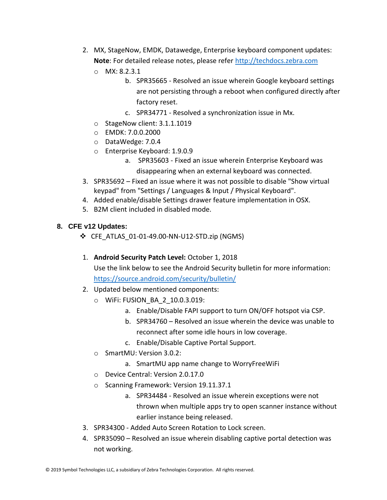- 2. MX, StageNow, EMDK, Datawedge, Enterprise keyboard component updates: **Note**: For detailed release notes, please refer [http://techdocs.zebra.com](http://techdocs.zebra.com/)
	- o MX: 8.2.3.1
		- b. SPR35665 Resolved an issue wherein Google keyboard settings are not persisting through a reboot when configured directly after factory reset.
			- c. SPR34771 Resolved a synchronization issue in Mx.
	- o StageNow client: 3.1.1.1019
	- o EMDK: 7.0.0.2000
	- o DataWedge: 7.0.4
	- o Enterprise Keyboard: 1.9.0.9
		- a. SPR35603 Fixed an issue wherein Enterprise Keyboard was disappearing when an external keyboard was connected.
- 3. SPR35692 Fixed an issue where it was not possible to disable "Show virtual keypad" from "Settings / Languages & Input / Physical Keyboard".
- 4. Added enable/disable Settings drawer feature implementation in OSX.
- 5. B2M client included in disabled mode.

#### **8. CFE v12 Updates:**

- ❖ CFE\_ATLAS\_01-01-49.00-NN-U12-STD.zip (NGMS)
- 1. **Android Security Patch Level:** October 1, 2018

Use the link below to see the Android Security bulletin for more information:

<https://source.android.com/security/bulletin/>

- 2. Updated below mentioned components:
	- o WiFi: FUSION\_BA\_2\_10.0.3.019:
		- a. Enable/Disable FAPI support to turn ON/OFF hotspot via CSP.
		- b. SPR34760 Resolved an issue wherein the device was unable to reconnect after some idle hours in low coverage.
		- c. Enable/Disable Captive Portal Support.
	- o SmartMU: Version 3.0.2:
		- a. SmartMU app name change to WorryFreeWiFi
	- o Device Central: Version 2.0.17.0
	- o Scanning Framework: Version 19.11.37.1
		- a. SPR34484 Resolved an issue wherein exceptions were not thrown when multiple apps try to open scanner instance without earlier instance being released.
- 3. SPR34300 Added Auto Screen Rotation to Lock screen.
- 4. SPR35090 Resolved an issue wherein disabling captive portal detection was not working.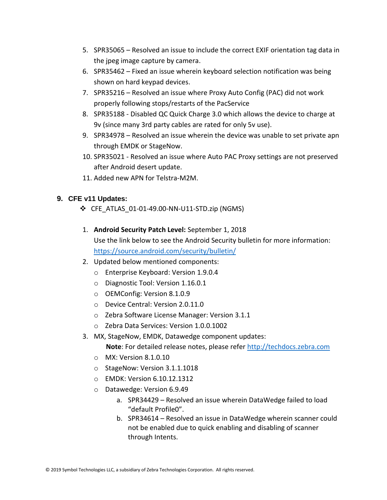- 5. SPR35065 Resolved an issue to include the correct EXIF orientation tag data in the jpeg image capture by camera.
- 6. SPR35462 Fixed an issue wherein keyboard selection notification was being shown on hard keypad devices.
- 7. SPR35216 Resolved an issue where Proxy Auto Config (PAC) did not work properly following stops/restarts of the PacService
- 8. SPR35188 Disabled QC Quick Charge 3.0 which allows the device to charge at 9v (since many 3rd party cables are rated for only 5v use).
- 9. SPR34978 Resolved an issue wherein the device was unable to set private apn through EMDK or StageNow.
- 10. SPR35021 Resolved an issue where Auto PAC Proxy settings are not preserved after Android desert update.
- 11. Added new APN for Telstra-M2M.

#### **9. CFE v11 Updates:**

- ❖ CFE\_ATLAS\_01-01-49.00-NN-U11-STD.zip (NGMS)
- 1. **Android Security Patch Level:** September 1, 2018 Use the link below to see the Android Security bulletin for more information: <https://source.android.com/security/bulletin/>
- 2. Updated below mentioned components:
	- o Enterprise Keyboard: Version 1.9.0.4
	- o Diagnostic Tool: Version 1.16.0.1
	- o OEMConfig: Version 8.1.0.9
	- o Device Central: Version 2.0.11.0
	- o Zebra Software License Manager: Version 3.1.1
	- o Zebra Data Services: Version 1.0.0.1002
- 3. MX, StageNow, EMDK, Datawedge component updates:

 **Note**: For detailed release notes, please refer [http://techdocs.zebra.com](http://techdocs.zebra.com/)

- o MX: Version 8.1.0.10
- o StageNow: Version 3.1.1.1018
- o EMDK: Version 6.10.12.1312
- o Datawedge: Version 6.9.49
	- a. SPR34429 Resolved an issue wherein DataWedge failed to load "default Profile0".
	- b. SPR34614 Resolved an issue in DataWedge wherein scanner could not be enabled due to quick enabling and disabling of scanner through Intents.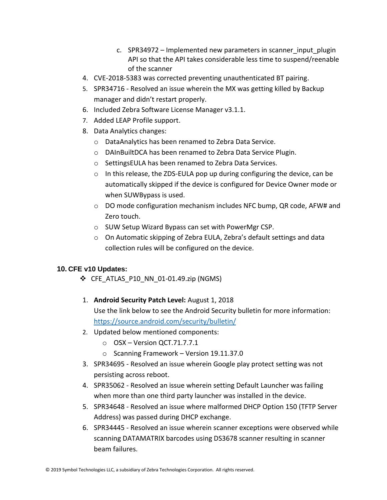- c. SPR34972 Implemented new parameters in scanner input plugin API so that the API takes considerable less time to suspend/reenable of the scanner
- 4. CVE-2018-5383 was corrected preventing unauthenticated BT pairing.
- 5. SPR34716 Resolved an issue wherein the MX was getting killed by Backup manager and didn't restart properly.
- 6. Included Zebra Software License Manager v3.1.1.
- 7. Added LEAP Profile support.
- 8. Data Analytics changes:
	- o DataAnalytics has been renamed to Zebra Data Service.
	- o DAInBuiltDCA has been renamed to Zebra Data Service Plugin.
	- o SettingsEULA has been renamed to Zebra Data Services.
	- o In this release, the ZDS-EULA pop up during configuring the device, can be automatically skipped if the device is configured for Device Owner mode or when SUWBypass is used.
	- $\circ$  DO mode configuration mechanism includes NFC bump, QR code, AFW# and Zero touch.
	- o SUW Setup Wizard Bypass can set with PowerMgr CSP.
	- $\circ$  On Automatic skipping of Zebra EULA, Zebra's default settings and data collection rules will be configured on the device.

#### **10. CFE v10 Updates:**

- $\div$  CFE ATLAS P10 NN 01-01.49.zip (NGMS)
- 1. **Android Security Patch Level:** August 1, 2018 Use the link below to see the Android Security bulletin for more information: <https://source.android.com/security/bulletin/>
- 2. Updated below mentioned components:
	- o OSX Version QCT.71.7.7.1
	- o Scanning Framework Version 19.11.37.0
- 3. SPR34695 Resolved an issue wherein Google play protect setting was not persisting across reboot.
- 4. SPR35062 Resolved an issue wherein setting Default Launcher was failing when more than one third party launcher was installed in the device.
- 5. SPR34648 Resolved an issue where malformed DHCP Option 150 (TFTP Server Address) was passed during DHCP exchange.
- 6. SPR34445 Resolved an issue wherein scanner exceptions were observed while scanning DATAMATRIX barcodes using DS3678 scanner resulting in scanner beam failures.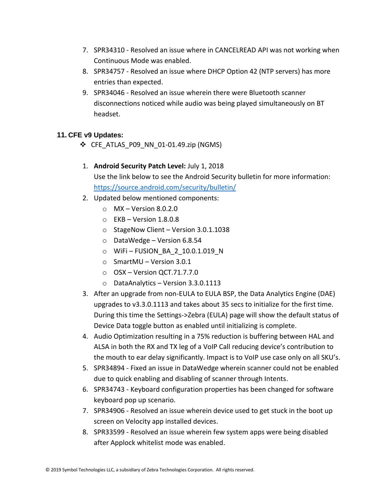- 7. SPR34310 Resolved an issue where in CANCELREAD API was not working when Continuous Mode was enabled.
- 8. SPR34757 Resolved an issue where DHCP Option 42 (NTP servers) has more entries than expected.
- 9. SPR34046 Resolved an issue wherein there were Bluetooth scanner disconnections noticed while audio was being played simultaneously on BT headset.

#### **11. CFE v9 Updates:**

- $\div$  CFE ATLAS P09 NN 01-01.49.zip (NGMS)
- 1. **Android Security Patch Level:** July 1, 2018 Use the link below to see the Android Security bulletin for more information: <https://source.android.com/security/bulletin/>
- 2. Updated below mentioned components:
	- $\circ$  MX Version 8.0.2.0
	- $\circ$  EKB Version 1.8.0.8
	- o StageNow Client Version 3.0.1.1038
	- o DataWedge Version 6.8.54
	- $\circ$  WiFi-FUSION BA 2 10.0.1.019 N
	- o SmartMU Version 3.0.1
	- $\circ$  OSX Version QCT.71.7.7.0
	- o DataAnalytics Version 3.3.0.1113
- 3. After an upgrade from non-EULA to EULA BSP, the Data Analytics Engine (DAE) upgrades to v3.3.0.1113 and takes about 35 secs to initialize for the first time. During this time the Settings->Zebra (EULA) page will show the default status of Device Data toggle button as enabled until initializing is complete.
- 4. Audio Optimization resulting in a 75% reduction is buffering between HAL and ALSA in both the RX and TX leg of a VoIP Call reducing device's contribution to the mouth to ear delay significantly. Impact is to VoIP use case only on all SKU's.
- 5. SPR34894 Fixed an issue in DataWedge wherein scanner could not be enabled due to quick enabling and disabling of scanner through Intents.
- 6. SPR34743 Keyboard configuration properties has been changed for software keyboard pop up scenario.
- 7. SPR34906 Resolved an issue wherein device used to get stuck in the boot up screen on Velocity app installed devices.
- 8. SPR33599 Resolved an issue wherein few system apps were being disabled after Applock whitelist mode was enabled.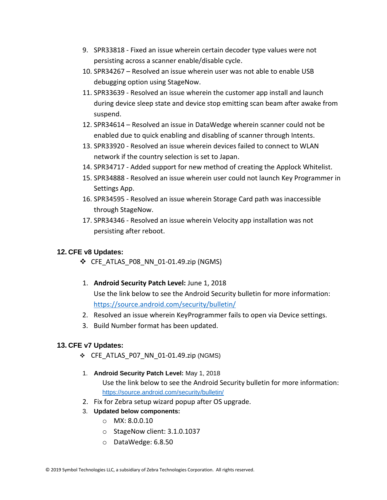- 9. SPR33818 Fixed an issue wherein certain decoder type values were not persisting across a scanner enable/disable cycle.
- 10. SPR34267 Resolved an issue wherein user was not able to enable USB debugging option using StageNow.
- 11. SPR33639 Resolved an issue wherein the customer app install and launch during device sleep state and device stop emitting scan beam after awake from suspend.
- 12. SPR34614 Resolved an issue in DataWedge wherein scanner could not be enabled due to quick enabling and disabling of scanner through Intents.
- 13. SPR33920 Resolved an issue wherein devices failed to connect to WLAN network if the country selection is set to Japan.
- 14. SPR34717 Added support for new method of creating the Applock Whitelist.
- 15. SPR34888 Resolved an issue wherein user could not launch Key Programmer in Settings App.
- 16. SPR34595 Resolved an issue wherein Storage Card path was inaccessible through StageNow.
- 17. SPR34346 Resolved an issue wherein Velocity app installation was not persisting after reboot.

#### **12. CFE v8 Updates:**

- $\div$  CFE ATLAS P08 NN 01-01.49.zip (NGMS)
- 1. **Android Security Patch Level:** June 1, 2018 Use the link below to see the Android Security bulletin for more information: <https://source.android.com/security/bulletin/>
- 2. Resolved an issue wherein KeyProgrammer fails to open via Device settings.
- 3. Build Number format has been updated.

#### **13. CFE v7 Updates:**

- ❖ CFE\_ATLAS\_P07\_NN\_01-01.49.zip (NGMS)
- 1. **Android Security Patch Level:** May 1, 2018 Use the link below to see the Android Security bulletin for more information: <https://source.android.com/security/bulletin/>
- 2. Fix for Zebra setup wizard popup after OS upgrade.
- 3. **Updated below components:**
	- o MX: 8.0.0.10
	- o StageNow client: 3.1.0.1037
	- o DataWedge: 6.8.50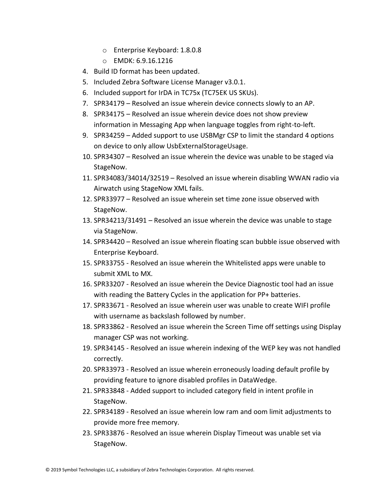- o Enterprise Keyboard: 1.8.0.8
- o EMDK: 6.9.16.1216
- 4. Build ID format has been updated.
- 5. Included Zebra Software License Manager v3.0.1.
- 6. Included support for IrDA in TC75x (TC75EK US SKUs).
- 7. SPR34179 Resolved an issue wherein device connects slowly to an AP.
- 8. SPR34175 Resolved an issue wherein device does not show preview information in Messaging App when language toggles from right-to-left.
- 9. SPR34259 Added support to use USBMgr CSP to limit the standard 4 options on device to only allow UsbExternalStorageUsage.
- 10. SPR34307 Resolved an issue wherein the device was unable to be staged via StageNow.
- 11. SPR34083/34014/32519 Resolved an issue wherein disabling WWAN radio via Airwatch using StageNow XML fails.
- 12. SPR33977 Resolved an issue wherein set time zone issue observed with StageNow.
- 13. SPR34213/31491 Resolved an issue wherein the device was unable to stage via StageNow.
- 14. SPR34420 Resolved an issue wherein floating scan bubble issue observed with Enterprise Keyboard.
- 15. SPR33755 Resolved an issue wherein the Whitelisted apps were unable to submit XML to MX.
- 16. SPR33207 Resolved an issue wherein the Device Diagnostic tool had an issue with reading the Battery Cycles in the application for PP+ batteries.
- 17. SPR33671 Resolved an issue wherein user was unable to create WIFI profile with username as backslash followed by number.
- 18. SPR33862 Resolved an issue wherein the Screen Time off settings using Display manager CSP was not working.
- 19. SPR34145 Resolved an issue wherein indexing of the WEP key was not handled correctly.
- 20. SPR33973 Resolved an issue wherein erroneously loading default profile by providing feature to ignore disabled profiles in DataWedge.
- 21. SPR33848 Added support to included category field in intent profile in StageNow.
- 22. SPR34189 Resolved an issue wherein low ram and oom limit adjustments to provide more free memory.
- 23. SPR33876 Resolved an issue wherein Display Timeout was unable set via StageNow.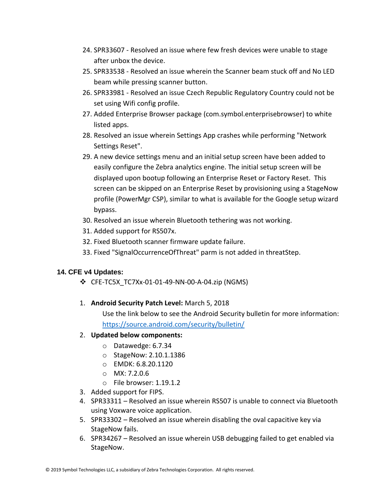- 24. SPR33607 Resolved an issue where few fresh devices were unable to stage after unbox the device.
- 25. SPR33538 Resolved an issue wherein the Scanner beam stuck off and No LED beam while pressing scanner button.
- 26. SPR33981 Resolved an issue Czech Republic Regulatory Country could not be set using Wifi config profile.
- 27. Added Enterprise Browser package (com.symbol.enterprisebrowser) to white listed apps.
- 28. Resolved an issue wherein Settings App crashes while performing "Network Settings Reset".
- 29. A new device settings menu and an initial setup screen have been added to easily configure the Zebra analytics engine. The initial setup screen will be displayed upon bootup following an Enterprise Reset or Factory Reset. This screen can be skipped on an Enterprise Reset by provisioning using a StageNow profile (PowerMgr CSP), similar to what is available for the Google setup wizard bypass.
- 30. Resolved an issue wherein Bluetooth tethering was not working.
- 31. Added support for RS507x.
- 32. Fixed Bluetooth scanner firmware update failure.
- 33. Fixed "SignalOccurrenceOfThreat" parm is not added in threatStep.

#### **14. CFE v4 Updates:**

- ❖ CFE-TC5X\_TC7Xx-01-01-49-NN-00-A-04.zip (NGMS)
- 1. **Android Security Patch Level:** March 5, 2018

Use the link below to see the Android Security bulletin for more information: <https://source.android.com/security/bulletin/>

#### 2. **Updated below components:**

- o Datawedge: 6.7.34
- o StageNow: 2.10.1.1386
- o EMDK: 6.8.20.1120
- $O$  MX: 7.2.0.6
- o File browser: 1.19.1.2
- 3. Added support for FIPS.
- 4. SPR33311 Resolved an issue wherein RS507 is unable to connect via Bluetooth using Voxware voice application.
- 5. SPR33302 Resolved an issue wherein disabling the oval capacitive key via StageNow fails.
- 6. SPR34267 Resolved an issue wherein USB debugging failed to get enabled via StageNow.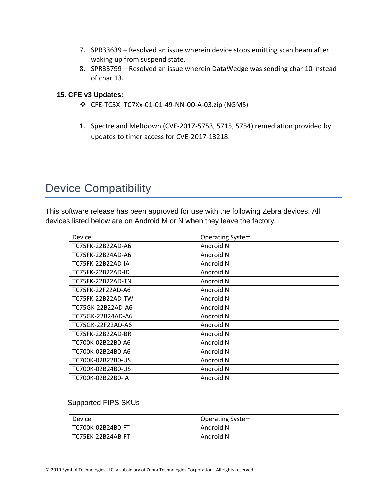- 7. SPR33639 Resolved an issue wherein device stops emitting scan beam after waking up from suspend state.
- 8. SPR33799 Resolved an issue wherein DataWedge was sending char 10 instead of char 13.

#### **15. CFE v3 Updates:**

- ❖ CFE-TC5X\_TC7Xx-01-01-49-NN-00-A-03.zip (NGMS)
- 1. Spectre and Meltdown (CVE-2017-5753, 5715, 5754) remediation provided by updates to timer access for CVE-2017-13218.

## <span id="page-16-0"></span>Device Compatibility

This software release has been approved for use with the following Zebra devices. All devices listed below are on Android M or N when they leave the factory.

| Device            | <b>Operating System</b> |
|-------------------|-------------------------|
| TC75FK-22B22AD-A6 | Android N               |
| TC75FK-22B24AD-A6 | Android N               |
| TC75FK-22B22AD-IA | Android N               |
| TC75FK-22B22AD-ID | Android N               |
| TC75FK-22B22AD-TN | Android N               |
| TC75FK-22F22AD-A6 | Android N               |
| TC75FK-22B22AD-TW | Android N               |
| TC75GK-22B22AD-A6 | Android N               |
| TC75GK-22B24AD-A6 | Android N               |
| TC75GK-22F22AD-A6 | Android N               |
| TC75FK-22B22AD-BR | Android N               |
| TC700K-02B22B0-A6 | Android N               |
| TC700K-02B24B0-A6 | Android N               |
| TC700K-02B22B0-US | Android N               |
| TC700K-02B24B0-US | Android N               |
| TC700K-02B22B0-IA | Android N               |

#### Supported FIPS SKUs

| Device              | <b>Operating System</b> |
|---------------------|-------------------------|
| TC700K-02B24B0-FT   | Android N               |
| l TC75EK-22B24AB-FT | Android N               |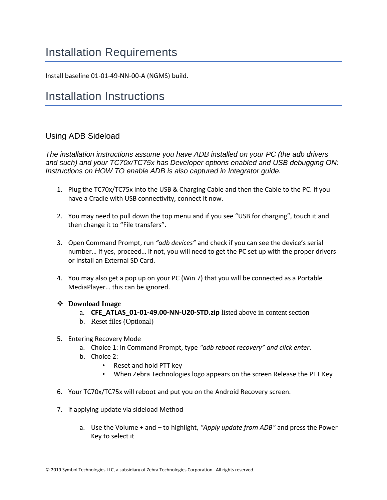## <span id="page-17-0"></span>Installation Requirements

Install baseline 01-01-49-NN-00-A (NGMS) build.

## <span id="page-17-1"></span>Installation Instructions

#### Using ADB Sideload

*The installation instructions assume you have ADB installed on your PC (the adb drivers and such) and your TC70x/TC75x has Developer options enabled and USB debugging ON: Instructions on HOW TO enable ADB is also captured in Integrator guide.*

- 1. Plug the TC70x/TC75x into the USB & Charging Cable and then the Cable to the PC. If you have a Cradle with USB connectivity, connect it now.
- 2. You may need to pull down the top menu and if you see "USB for charging", touch it and then change it to "File transfers".
- 3. Open Command Prompt, run *"adb devices"* and check if you can see the device's serial number… If yes, proceed… if not, you will need to get the PC set up with the proper drivers or install an External SD Card.
- 4. You may also get a pop up on your PC (Win 7) that you will be connected as a Portable MediaPlayer… this can be ignored.

#### ❖ **Download Image**

- a. **CFE\_ATLAS\_01-01-49.00-NN-U20-STD.zip** listed above in content section
- b. Reset files (Optional)
- 5. Entering Recovery Mode
	- a. Choice 1: In Command Prompt, type *"adb reboot recovery" and click enter*.
	- b. Choice 2:
		- Reset and hold PTT key
		- When Zebra Technologies logo appears on the screen Release the PTT Key
- 6. Your TC70x/TC75x will reboot and put you on the Android Recovery screen.
- 7. if applying update via sideload Method
	- a. Use the Volume + and to highlight, *"Apply update from ADB"* and press the Power Key to select it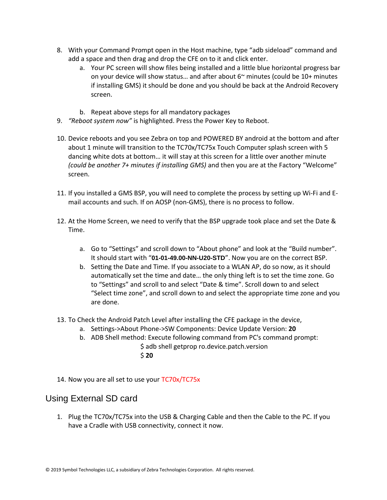- 8. With your Command Prompt open in the Host machine, type "adb sideload" command and add a space and then drag and drop the CFE on to it and click enter.
	- a. Your PC screen will show files being installed and a little blue horizontal progress bar on your device will show status... and after about  $6<sup>th</sup>$  minutes (could be 10+ minutes if installing GMS) it should be done and you should be back at the Android Recovery screen.
	- b. Repeat above steps for all mandatory packages
- 9. *"Reboot system now"* is highlighted. Press the Power Key to Reboot.
- 10. Device reboots and you see Zebra on top and POWERED BY android at the bottom and after about 1 minute will transition to the TC70x/TC75x Touch Computer splash screen with 5 dancing white dots at bottom… it will stay at this screen for a little over another minute *(could be another 7+ minutes if installing GMS)* and then you are at the Factory "Welcome" screen.
- 11. If you installed a GMS BSP, you will need to complete the process by setting up Wi‐Fi and E‐ mail accounts and such. If on AOSP (non‐GMS), there is no process to follow.
- 12. At the Home Screen, we need to verify that the BSP upgrade took place and set the Date & Time.
	- a. Go to "Settings" and scroll down to "About phone" and look at the "Build number". It should start with "**01-01-49.00-NN-U20-STD**". Now you are on the correct BSP.
	- b. Setting the Date and Time. If you associate to a WLAN AP, do so now, as it should automatically set the time and date… the only thing left is to set the time zone. Go to "Settings" and scroll to and select "Date & time". Scroll down to and select "Select time zone", and scroll down to and select the appropriate time zone and you are done.
- 13. To Check the Android Patch Level after installing the CFE package in the device,
	- a. Settings->About Phone->SW Components: Device Update Version: **20**
	- b. ADB Shell method: Execute following command from PC's command prompt: \$ adb shell getprop ro.device.patch.version \$ **20**
- 14. Now you are all set to use your TC70x/TC75x

#### Using External SD card

1. Plug the TC70x/TC75x into the USB & Charging Cable and then the Cable to the PC. If you have a Cradle with USB connectivity, connect it now.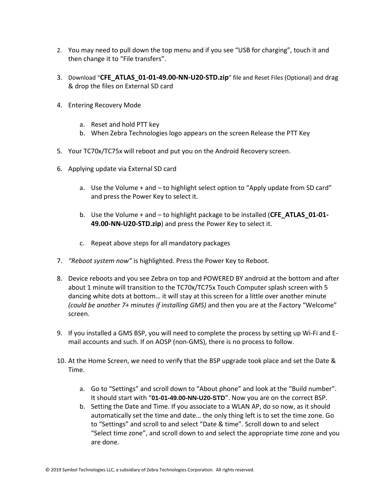- 2. You may need to pull down the top menu and if you see "USB for charging", touch it and then change it to "File transfers".
- 3. Download "**CFE\_ATLAS\_01-01-49.00-NN-U20-STD.zip**" file and Reset Files (Optional) and drag & drop the files on External SD card
- 4. Entering Recovery Mode
	- a. Reset and hold PTT key
	- b. When Zebra Technologies logo appears on the screen Release the PTT Key
- 5. Your TC70x/TC75x will reboot and put you on the Android Recovery screen.
- 6. Applying update via External SD card
	- a. Use the Volume + and to highlight select option to "Apply update from SD card" and press the Power Key to select it.
	- b. Use the Volume + and to highlight package to be installed (**CFE\_ATLAS\_01-01- 49.00-NN-U20-STD.zip**) and press the Power Key to select it.
	- c. Repeat above steps for all mandatory packages
- 7. *"Reboot system now"* is highlighted. Press the Power Key to Reboot.
- 8. Device reboots and you see Zebra on top and POWERED BY android at the bottom and after about 1 minute will transition to the TC70x/TC75x Touch Computer splash screen with 5 dancing white dots at bottom… it will stay at this screen for a little over another minute *(could be another 7+ minutes if installing GMS)* and then you are at the Factory "Welcome" screen.
- 9. If you installed a GMS BSP, you will need to complete the process by setting up Wi‐Fi and E‐ mail accounts and such. If on AOSP (non‐GMS), there is no process to follow.
- 10. At the Home Screen, we need to verify that the BSP upgrade took place and set the Date & Time.
	- a. Go to "Settings" and scroll down to "About phone" and look at the "Build number". It should start with "**01-01-49.00-NN-U20-STD**". Now you are on the correct BSP.
	- b. Setting the Date and Time. If you associate to a WLAN AP, do so now, as it should automatically set the time and date… the only thing left is to set the time zone. Go to "Settings" and scroll to and select "Date & time". Scroll down to and select "Select time zone", and scroll down to and select the appropriate time zone and you are done.